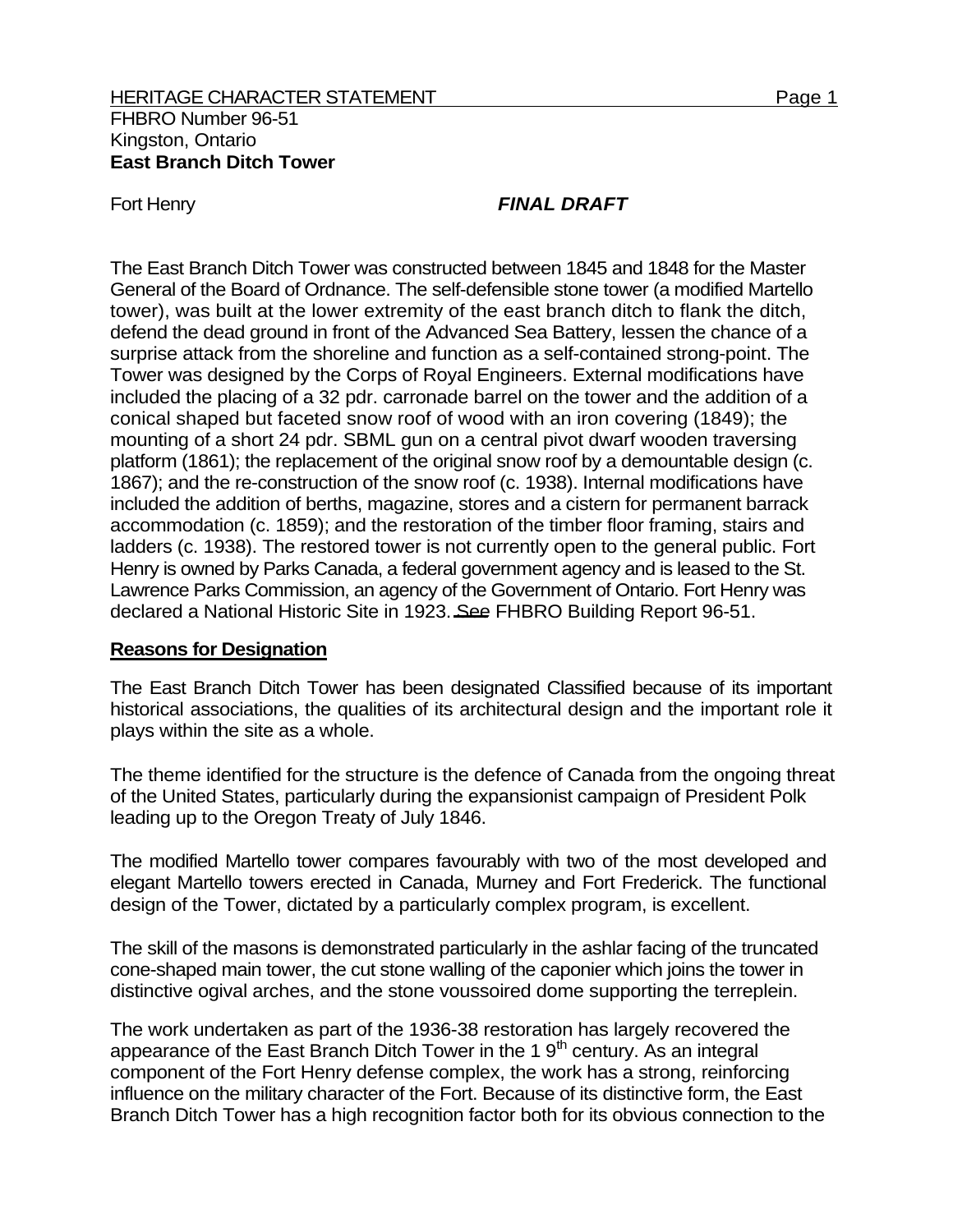#### HERITAGE CHARACTER STATEMENT FOR THE SERIES AND RESIDENCE A Page 1 FHBRO Number 96-51 Kingston, Ontario **East Branch Ditch Tower**

# Fort Henry **FINAL DRAFT**

The East Branch Ditch Tower was constructed between 1845 and 1848 for the Master General of the Board of Ordnance. The self-defensible stone tower (a modified Martello tower), was built at the lower extremity of the east branch ditch to flank the ditch, defend the dead ground in front of the Advanced Sea Battery, lessen the chance of a surprise attack from the shoreline and function as a self-contained strong-point. The Tower was designed by the Corps of Royal Engineers. External modifications have included the placing of a 32 pdr. carronade barrel on the tower and the addition of a conical shaped but faceted snow roof of wood with an iron covering (1849); the mounting of a short 24 pdr. SBML gun on a central pivot dwarf wooden traversing platform (1861); the replacement of the original snow roof by a demountable design (c. 1867); and the re-construction of the snow roof (c. 1938). Internal modifications have included the addition of berths, magazine, stores and a cistern for permanent barrack accommodation (c. 1859); and the restoration of the timber floor framing, stairs and ladders (c. 1938). The restored tower is not currently open to the general public. Fort Henry is owned by Parks Canada, a federal government agency and is leased to the St. Lawrence Parks Commission, an agency of the Government of Ontario. Fort Henry was declared a National Historic Site in 1923. See FHBRO Building Report 96-51.

#### **Reasons for Designation**

The East Branch Ditch Tower has been designated Classified because of its important historical associations, the qualities of its architectural design and the important role it plays within the site as a whole.

The theme identified for the structure is the defence of Canada from the ongoing threat of the United States, particularly during the expansionist campaign of President Polk leading up to the Oregon Treaty of July 1846.

The modified Martello tower compares favourably with two of the most developed and elegant Martello towers erected in Canada, Murney and Fort Frederick. The functional design of the Tower, dictated by a particularly complex program, is excellent.

The skill of the masons is demonstrated particularly in the ashlar facing of the truncated cone-shaped main tower, the cut stone walling of the caponier which joins the tower in distinctive ogival arches, and the stone voussoired dome supporting the terreplein.

The work undertaken as part of the 1936-38 restoration has largely recovered the appearance of the East Branch Ditch Tower in the 1 $9<sup>th</sup>$  century. As an integral component of the Fort Henry defense complex, the work has a strong, reinforcing influence on the military character of the Fort. Because of its distinctive form, the East Branch Ditch Tower has a high recognition factor both for its obvious connection to the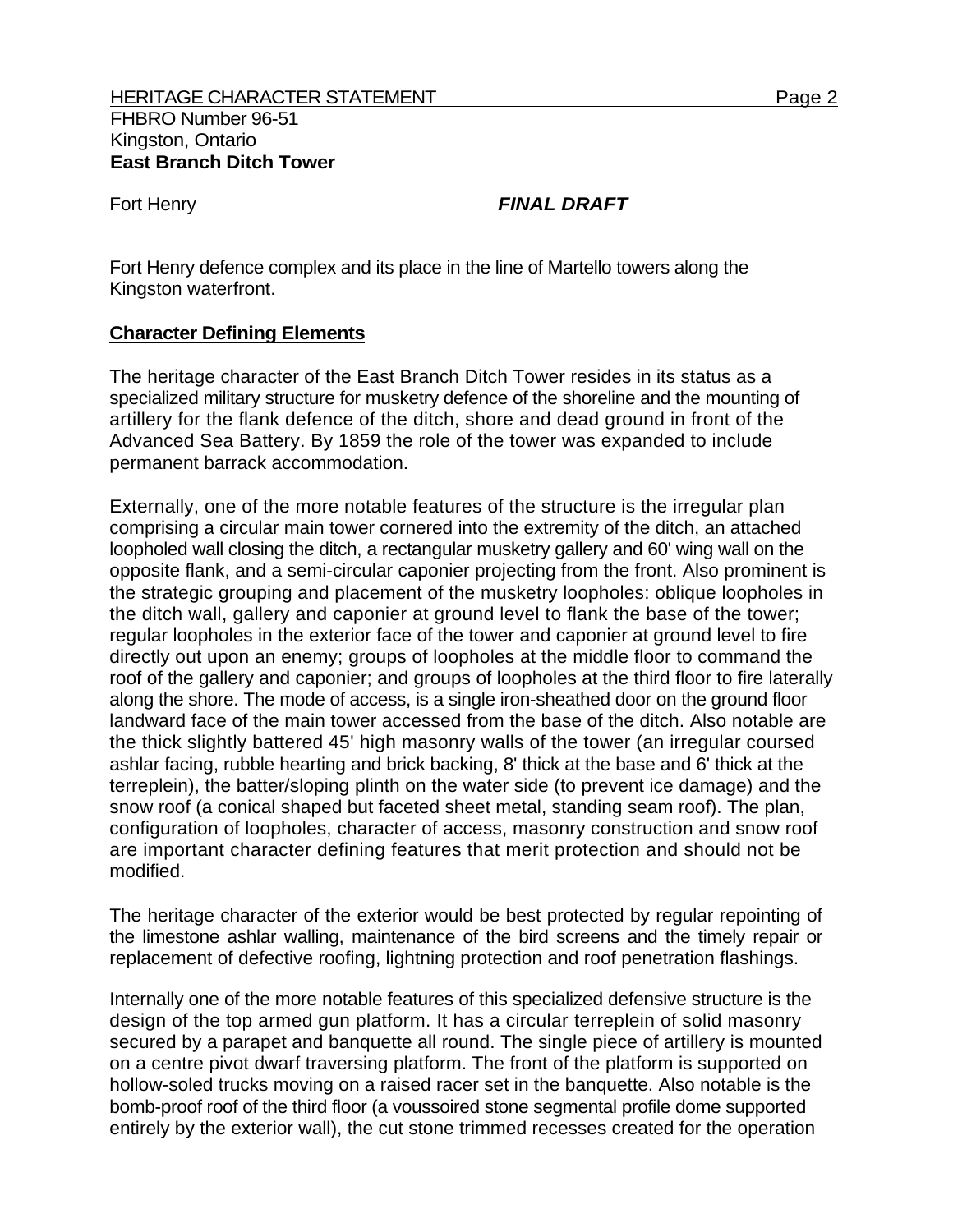# Fort Henry *FINAL DRAFT*

Fort Henry defence complex and its place in the line of Martello towers along the Kingston waterfront.

# **Character Defining Elements**

The heritage character of the East Branch Ditch Tower resides in its status as a specialized military structure for musketry defence of the shoreline and the mounting of artillery for the flank defence of the ditch, shore and dead ground in front of the Advanced Sea Battery. By 1859 the role of the tower was expanded to include permanent barrack accommodation.

Externally, one of the more notable features of the structure is the irregular plan comprising a circular main tower cornered into the extremity of the ditch, an attached loopholed wall closing the ditch, a rectangular musketry gallery and 60' wing wall on the opposite flank, and a semi-circular caponier projecting from the front. Also prominent is the strategic grouping and placement of the musketry loopholes: oblique loopholes in the ditch wall, gallery and caponier at ground level to flank the base of the tower; regular loopholes in the exterior face of the tower and caponier at ground level to fire directly out upon an enemy; groups of loopholes at the middle floor to command the roof of the gallery and caponier; and groups of loopholes at the third floor to fire laterally along the shore. The mode of access, is a single iron-sheathed door on the ground floor landward face of the main tower accessed from the base of the ditch. Also notable are the thick slightly battered 45' high masonry walls of the tower (an irregular coursed ashlar facing, rubble hearting and brick backing, 8' thick at the base and 6' thick at the terreplein), the batter/sloping plinth on the water side (to prevent ice damage) and the snow roof (a conical shaped but faceted sheet metal, standing seam roof). The plan, configuration of loopholes, character of access, masonry construction and snow roof are important character defining features that merit protection and should not be modified.

The heritage character of the exterior would be best protected by regular repointing of the limestone ashlar walling, maintenance of the bird screens and the timely repair or replacement of defective roofing, lightning protection and roof penetration flashings.

Internally one of the more notable features of this specialized defensive structure is the design of the top armed gun platform. It has a circular terreplein of solid masonry secured by a parapet and banquette all round. The single piece of artillery is mounted on a centre pivot dwarf traversing platform. The front of the platform is supported on hollow-soled trucks moving on a raised racer set in the banquette. Also notable is the bomb-proof roof of the third floor (a voussoired stone segmental profile dome supported entirely by the exterior wall), the cut stone trimmed recesses created for the operation